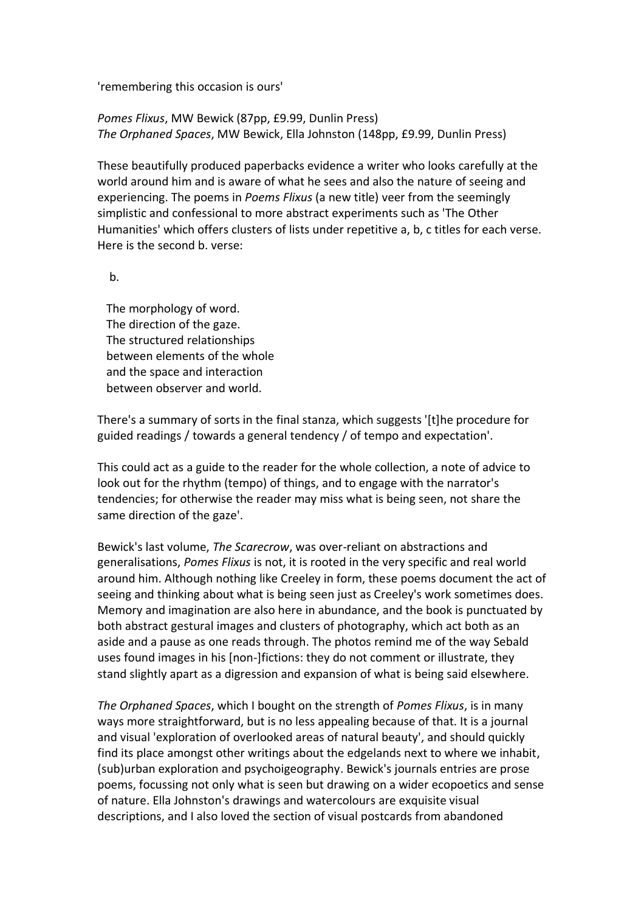'remembering this occasion is ours'

*Pomes Flixus*, MW Bewick (87pp, £9.99, Dunlin Press) *The Orphaned Spaces*, MW Bewick, Ella Johnston (148pp, £9.99, Dunlin Press)

These beautifully produced paperbacks evidence a writer who looks carefully at the world around him and is aware of what he sees and also the nature of seeing and experiencing. The poems in *Poems Flixus* (a new title) veer from the seemingly simplistic and confessional to more abstract experiments such as 'The Other Humanities' which offers clusters of lists under repetitive a, b, c titles for each verse. Here is the second b. verse:

b.

 The morphology of word. The direction of the gaze. The structured relationships between elements of the whole and the space and interaction between observer and world.

There's a summary of sorts in the final stanza, which suggests '[t]he procedure for guided readings / towards a general tendency / of tempo and expectation'.

This could act as a guide to the reader for the whole collection, a note of advice to look out for the rhythm (tempo) of things, and to engage with the narrator's tendencies; for otherwise the reader may miss what is being seen, not share the same direction of the gaze'.

Bewick's last volume, *The Scarecrow*, was over-reliant on abstractions and generalisations, *Pomes Flixus* is not, it is rooted in the very specific and real world around him. Although nothing like Creeley in form, these poems document the act of seeing and thinking about what is being seen just as Creeley's work sometimes does. Memory and imagination are also here in abundance, and the book is punctuated by both abstract gestural images and clusters of photography, which act both as an aside and a pause as one reads through. The photos remind me of the way Sebald uses found images in his [non-]fictions: they do not comment or illustrate, they stand slightly apart as a digression and expansion of what is being said elsewhere.

*The Orphaned Spaces*, which I bought on the strength of *Pomes Flixus*, is in many ways more straightforward, but is no less appealing because of that. It is a journal and visual 'exploration of overlooked areas of natural beauty', and should quickly find its place amongst other writings about the edgelands next to where we inhabit, (sub)urban exploration and psychoigeography. Bewick's journals entries are prose poems, focussing not only what is seen but drawing on a wider ecopoetics and sense of nature. Ella Johnston's drawings and watercolours are exquisite visual descriptions, and I also loved the section of visual postcards from abandoned